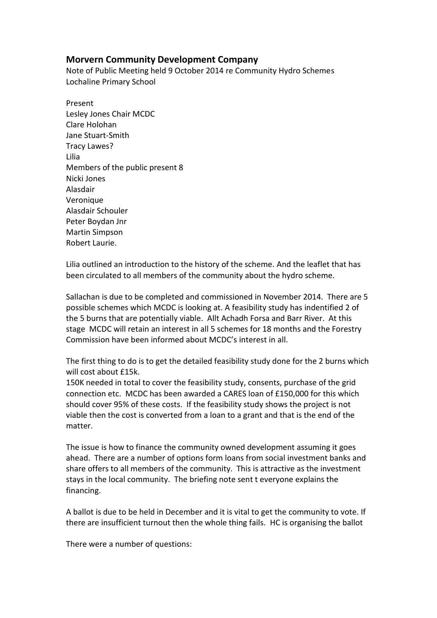## **Morvern Community Development Company**

Note of Public Meeting held 9 October 2014 re Community Hydro Schemes Lochaline Primary School

Present Lesley Jones Chair MCDC Clare Holohan Jane Stuart-Smith Tracy Lawes? Lilia Members of the public present 8 Nicki Jones Alasdair Veronique Alasdair Schouler Peter Boydan Jnr Martin Simpson Robert Laurie.

Lilia outlined an introduction to the history of the scheme. And the leaflet that has been circulated to all members of the community about the hydro scheme.

Sallachan is due to be completed and commissioned in November 2014. There are 5 possible schemes which MCDC is looking at. A feasibility study has indentified 2 of the 5 burns that are potentially viable. Allt Achadh Forsa and Barr River. At this stage MCDC will retain an interest in all 5 schemes for 18 months and the Forestry Commission have been informed about MCDC's interest in all.

The first thing to do is to get the detailed feasibility study done for the 2 burns which will cost about £15k.

150K needed in total to cover the feasibility study, consents, purchase of the grid connection etc. MCDC has been awarded a CARES loan of £150,000 for this which should cover 95% of these costs. If the feasibility study shows the project is not viable then the cost is converted from a loan to a grant and that is the end of the matter.

The issue is how to finance the community owned development assuming it goes ahead. There are a number of options form loans from social investment banks and share offers to all members of the community. This is attractive as the investment stays in the local community. The briefing note sent t everyone explains the financing.

A ballot is due to be held in December and it is vital to get the community to vote. If there are insufficient turnout then the whole thing fails. HC is organising the ballot

There were a number of questions: